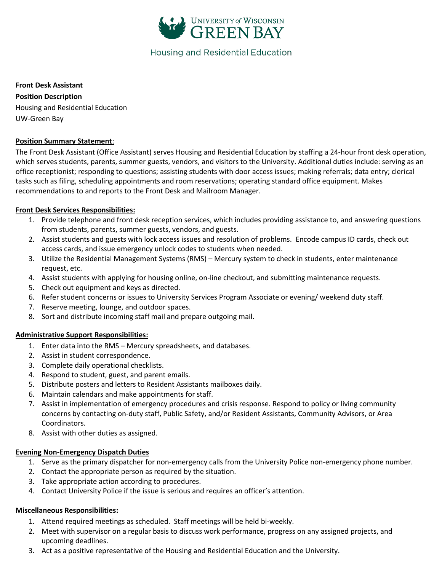

# **Housing and Residential Education**

#### **Front Desk Assistant**

**Position Description** Housing and Residential Education UW-Green Bay

#### **Position Summary Statement**:

The Front Desk Assistant (Office Assistant) serves Housing and Residential Education by staffing a 24-hour front desk operation, which serves students, parents, summer guests, vendors, and visitors to the University. Additional duties include: serving as an office receptionist; responding to questions; assisting students with door access issues; making referrals; data entry; clerical tasks such as filing, scheduling appointments and room reservations; operating standard office equipment. Makes recommendations to and reports to the Front Desk and Mailroom Manager.

## **Front Desk Services Responsibilities:**

- 1. Provide telephone and front desk reception services, which includes providing assistance to, and answering questions from students, parents, summer guests, vendors, and guests.
- 2. Assist students and guests with lock access issues and resolution of problems. Encode campus ID cards, check out access cards, and issue emergency unlock codes to students when needed.
- 3. Utilize the Residential Management Systems (RMS) Mercury system to check in students, enter maintenance request, etc.
- 4. Assist students with applying for housing online, on-line checkout, and submitting maintenance requests.
- 5. Check out equipment and keys as directed.
- 6. Refer student concerns or issues to University Services Program Associate or evening/ weekend duty staff.
- 7. Reserve meeting, lounge, and outdoor spaces.
- 8. Sort and distribute incoming staff mail and prepare outgoing mail.

# **Administrative Support Responsibilities:**

- 1. Enter data into the RMS Mercury spreadsheets, and databases.
- 2. Assist in student correspondence.
- 3. Complete daily operational checklists.
- 4. Respond to student, guest, and parent emails.
- 5. Distribute posters and letters to Resident Assistants mailboxes daily.
- 6. Maintain calendars and make appointments for staff.
- 7. Assist in implementation of emergency procedures and crisis response. Respond to policy or living community concerns by contacting on-duty staff, Public Safety, and/or Resident Assistants, Community Advisors, or Area Coordinators.
- 8. Assist with other duties as assigned.

#### **Evening Non-Emergency Dispatch Duties**

- 1. Serve as the primary dispatcher for non-emergency calls from the University Police non-emergency phone number.
- 2. Contact the appropriate person as required by the situation.
- 3. Take appropriate action according to procedures.
- 4. Contact University Police if the issue is serious and requires an officer's attention.

#### **Miscellaneous Responsibilities:**

- 1. Attend required meetings as scheduled. Staff meetings will be held bi-weekly.
- 2. Meet with supervisor on a regular basis to discuss work performance, progress on any assigned projects, and upcoming deadlines.
- 3. Act as a positive representative of the Housing and Residential Education and the University.